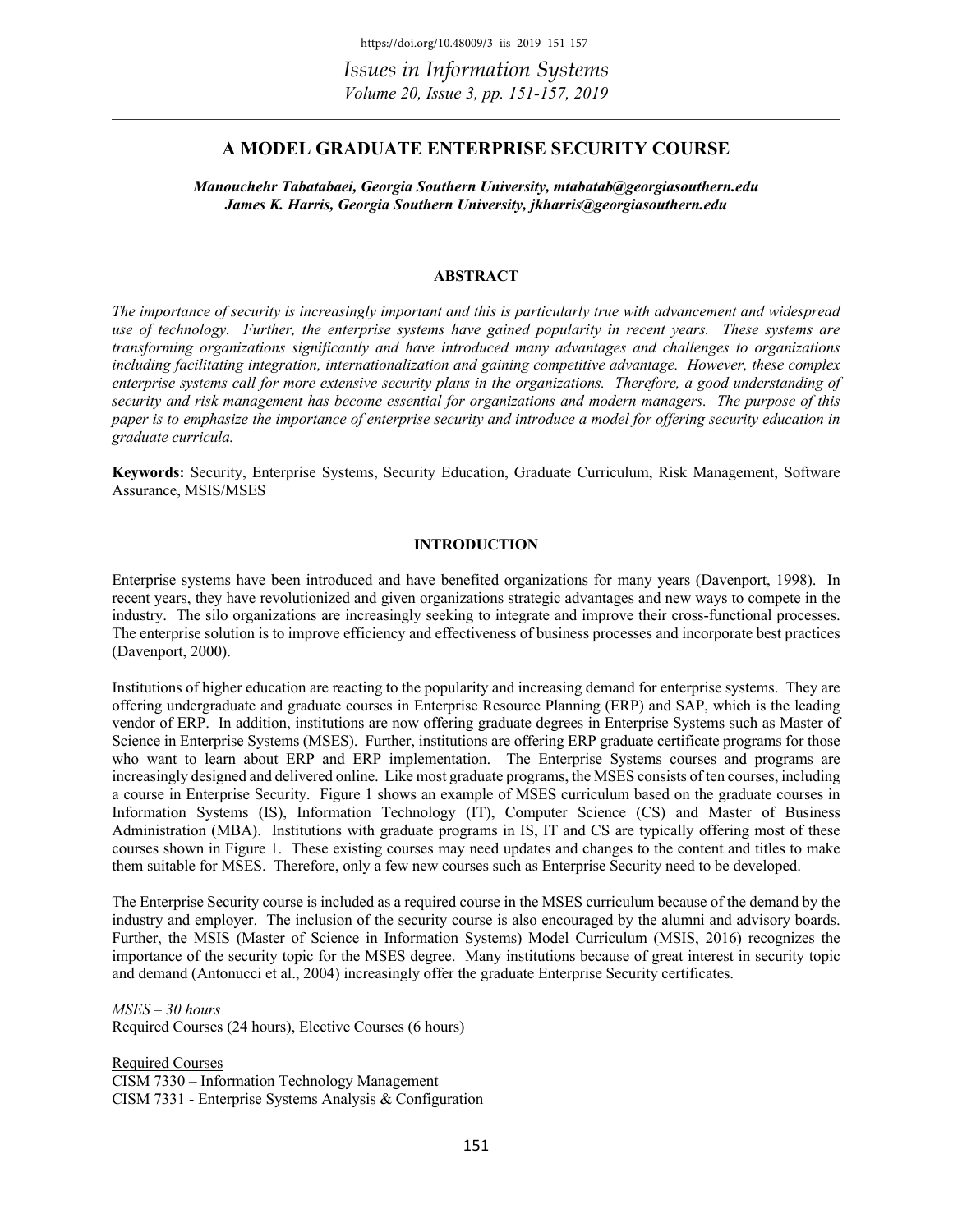*Issues in Information Systems Volume 20, Issue 3, pp. 151-157, 2019*

# **A MODEL GRADUATE ENTERPRISE SECURITY COURSE**

*Manouchehr Tabatabaei, Georgia Southern University, mtabatab@georgiasouthern.edu James K. Harris, Georgia Southern University, jkharris@georgiasouthern.edu*

#### **ABSTRACT**

*The importance of security is increasingly important and this is particularly true with advancement and widespread use of technology. Further, the enterprise systems have gained popularity in recent years. These systems are transforming organizations significantly and have introduced many advantages and challenges to organizations including facilitating integration, internationalization and gaining competitive advantage. However, these complex enterprise systems call for more extensive security plans in the organizations. Therefore, a good understanding of security and risk management has become essential for organizations and modern managers. The purpose of this paper is to emphasize the importance of enterprise security and introduce a model for offering security education in graduate curricula.* 

**Keywords:** Security, Enterprise Systems, Security Education, Graduate Curriculum, Risk Management, Software Assurance, MSIS/MSES

### **INTRODUCTION**

Enterprise systems have been introduced and have benefited organizations for many years (Davenport, 1998). In recent years, they have revolutionized and given organizations strategic advantages and new ways to compete in the industry. The silo organizations are increasingly seeking to integrate and improve their cross-functional processes. The enterprise solution is to improve efficiency and effectiveness of business processes and incorporate best practices (Davenport, 2000).

Institutions of higher education are reacting to the popularity and increasing demand for enterprise systems. They are offering undergraduate and graduate courses in Enterprise Resource Planning (ERP) and SAP, which is the leading vendor of ERP. In addition, institutions are now offering graduate degrees in Enterprise Systems such as Master of Science in Enterprise Systems (MSES). Further, institutions are offering ERP graduate certificate programs for those who want to learn about ERP and ERP implementation. The Enterprise Systems courses and programs are increasingly designed and delivered online. Like most graduate programs, the MSES consists of ten courses, including a course in Enterprise Security. Figure 1 shows an example of MSES curriculum based on the graduate courses in Information Systems (IS), Information Technology (IT), Computer Science (CS) and Master of Business Administration (MBA). Institutions with graduate programs in IS, IT and CS are typically offering most of these courses shown in Figure 1. These existing courses may need updates and changes to the content and titles to make them suitable for MSES. Therefore, only a few new courses such as Enterprise Security need to be developed.

The Enterprise Security course is included as a required course in the MSES curriculum because of the demand by the industry and employer. The inclusion of the security course is also encouraged by the alumni and advisory boards. Further, the MSIS (Master of Science in Information Systems) Model Curriculum (MSIS, 2016) recognizes the importance of the security topic for the MSES degree. Many institutions because of great interest in security topic and demand (Antonucci et al., 2004) increasingly offer the graduate Enterprise Security certificates.

*MSES – 30 hours* Required Courses (24 hours), Elective Courses (6 hours)

Required Courses CISM 7330 – Information Technology Management CISM 7331 - Enterprise Systems Analysis & Configuration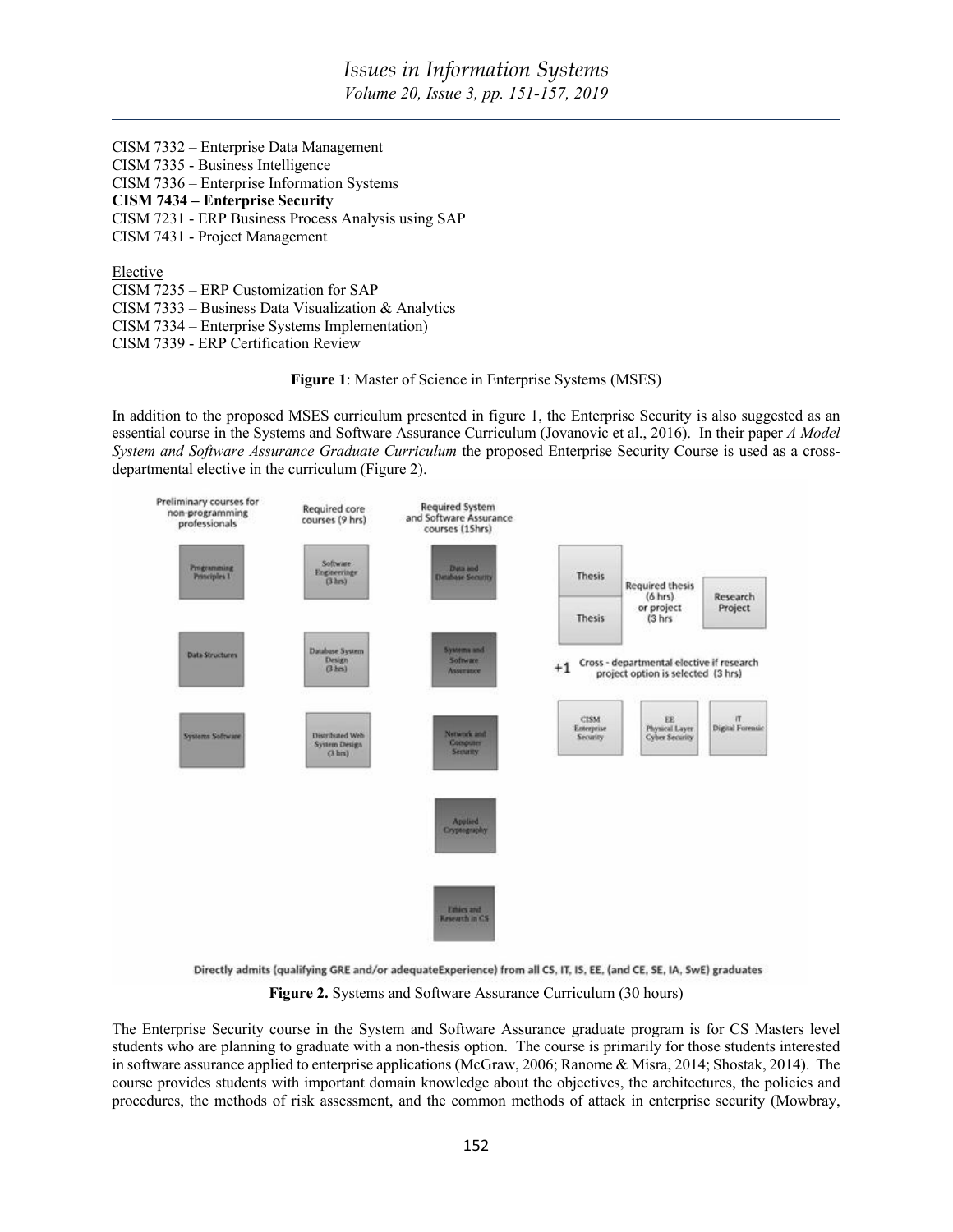| CISM 7332 – Enterprise Data Management              |  |
|-----------------------------------------------------|--|
| CISM 7335 - Business Intelligence                   |  |
| CISM 7336 – Enterprise Information Systems          |  |
| <b>CISM 7434 – Enterprise Security</b>              |  |
| CISM 7231 - ERP Business Process Analysis using SAP |  |
| CISM 7431 - Project Management                      |  |
|                                                     |  |

Elective

CISM 7235 – ERP Customization for SAP

CISM 7333 – Business Data Visualization & Analytics

CISM 7334 – Enterprise Systems Implementation)

CISM 7339 - ERP Certification Review

#### **Figure 1**: Master of Science in Enterprise Systems (MSES)

In addition to the proposed MSES curriculum presented in figure 1, the Enterprise Security is also suggested as an essential course in the Systems and Software Assurance Curriculum (Jovanovic et al., 2016). In their paper *A Model System and Software Assurance Graduate Curriculum* the proposed Enterprise Security Course is used as a crossdepartmental elective in the curriculum (Figure 2).



Directly admits (qualifying GRE and/or adequateExperience) from all CS, IT, IS, EE, (and CE, SE, IA, SwE) graduates

**Figure 2.** Systems and Software Assurance Curriculum (30 hours)

The Enterprise Security course in the System and Software Assurance graduate program is for CS Masters level students who are planning to graduate with a non-thesis option. The course is primarily for those students interested in software assurance applied to enterprise applications (McGraw, 2006; Ranome & Misra, 2014; Shostak, 2014). The course provides students with important domain knowledge about the objectives, the architectures, the policies and procedures, the methods of risk assessment, and the common methods of attack in enterprise security (Mowbray,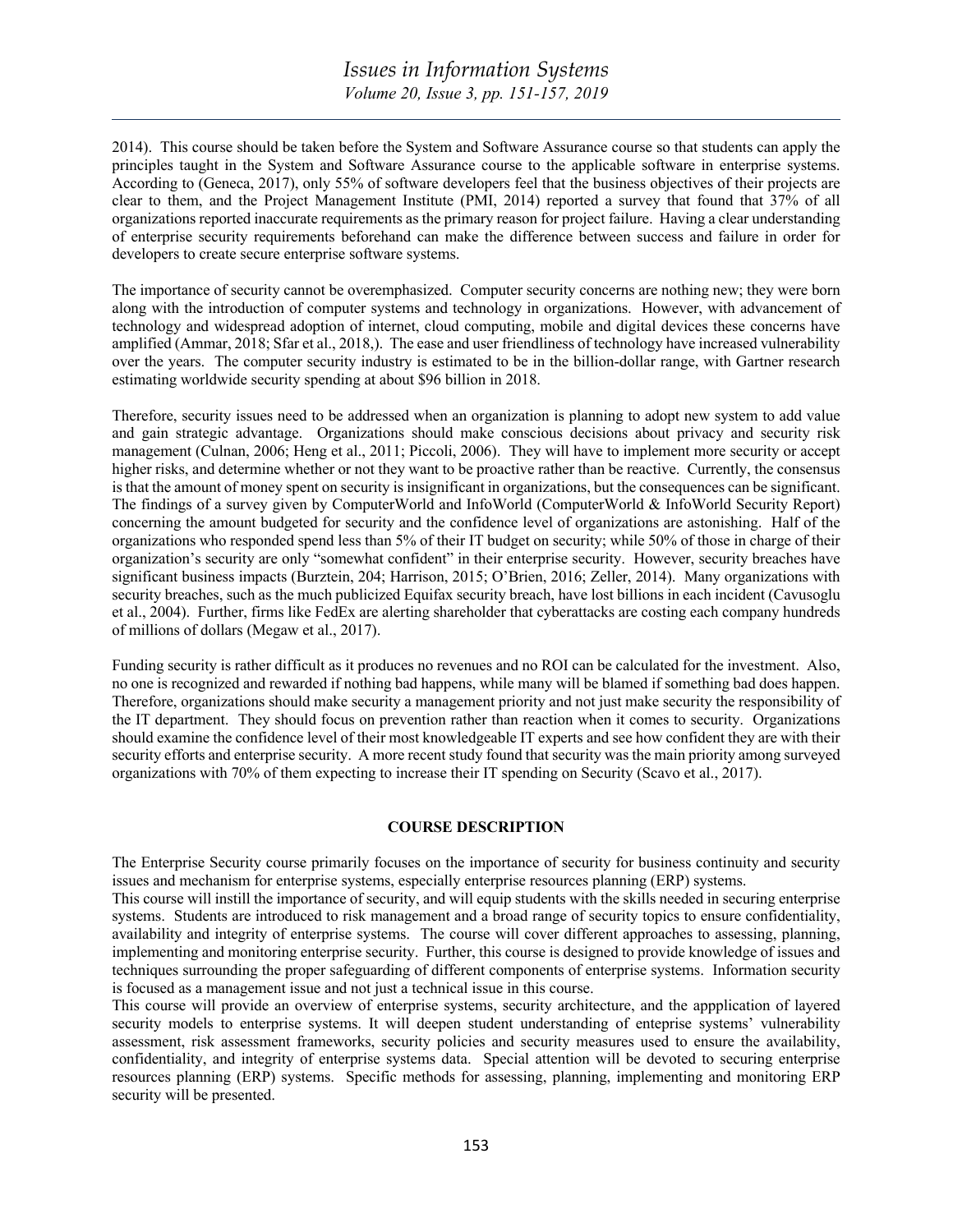2014). This course should be taken before the System and Software Assurance course so that students can apply the principles taught in the System and Software Assurance course to the applicable software in enterprise systems. According to (Geneca, 2017), only 55% of software developers feel that the business objectives of their projects are clear to them, and the Project Management Institute (PMI, 2014) reported a survey that found that 37% of all organizations reported inaccurate requirements as the primary reason for project failure. Having a clear understanding of enterprise security requirements beforehand can make the difference between success and failure in order for developers to create secure enterprise software systems.

The importance of security cannot be overemphasized. Computer security concerns are nothing new; they were born along with the introduction of computer systems and technology in organizations. However, with advancement of technology and widespread adoption of internet, cloud computing, mobile and digital devices these concerns have amplified (Ammar, 2018; Sfar et al., 2018,). The ease and user friendliness of technology have increased vulnerability over the years. The computer security industry is estimated to be in the billion-dollar range, with Gartner research estimating worldwide security spending at about \$96 billion in 2018.

Therefore, security issues need to be addressed when an organization is planning to adopt new system to add value and gain strategic advantage. Organizations should make conscious decisions about privacy and security risk management (Culnan, 2006; Heng et al., 2011; Piccoli, 2006). They will have to implement more security or accept higher risks, and determine whether or not they want to be proactive rather than be reactive. Currently, the consensus is that the amount of money spent on security is insignificant in organizations, but the consequences can be significant. The findings of a survey given by ComputerWorld and InfoWorld (ComputerWorld & InfoWorld Security Report) concerning the amount budgeted for security and the confidence level of organizations are astonishing. Half of the organizations who responded spend less than 5% of their IT budget on security; while 50% of those in charge of their organization's security are only "somewhat confident" in their enterprise security. However, security breaches have significant business impacts (Burztein, 204; Harrison, 2015; O'Brien, 2016; Zeller, 2014). Many organizations with security breaches, such as the much publicized Equifax security breach, have lost billions in each incident (Cavusoglu et al., 2004). Further, firms like FedEx are alerting shareholder that cyberattacks are costing each company hundreds of millions of dollars (Megaw et al., 2017).

Funding security is rather difficult as it produces no revenues and no ROI can be calculated for the investment. Also, no one is recognized and rewarded if nothing bad happens, while many will be blamed if something bad does happen. Therefore, organizations should make security a management priority and not just make security the responsibility of the IT department. They should focus on prevention rather than reaction when it comes to security. Organizations should examine the confidence level of their most knowledgeable IT experts and see how confident they are with their security efforts and enterprise security. A more recent study found that security was the main priority among surveyed organizations with 70% of them expecting to increase their IT spending on Security (Scavo et al., 2017).

## **COURSE DESCRIPTION**

The Enterprise Security course primarily focuses on the importance of security for business continuity and security issues and mechanism for enterprise systems, especially enterprise resources planning (ERP) systems.

This course will instill the importance of security, and will equip students with the skills needed in securing enterprise systems. Students are introduced to risk management and a broad range of security topics to ensure confidentiality, availability and integrity of enterprise systems. The course will cover different approaches to assessing, planning, implementing and monitoring enterprise security. Further, this course is designed to provide knowledge of issues and techniques surrounding the proper safeguarding of different components of enterprise systems. Information security is focused as a management issue and not just a technical issue in this course.

This course will provide an overview of enterprise systems, security architecture, and the appplication of layered security models to enterprise systems. It will deepen student understanding of enteprise systems' vulnerability assessment, risk assessment frameworks, security policies and security measures used to ensure the availability, confidentiality, and integrity of enterprise systems data. Special attention will be devoted to securing enterprise resources planning (ERP) systems. Specific methods for assessing, planning, implementing and monitoring ERP security will be presented.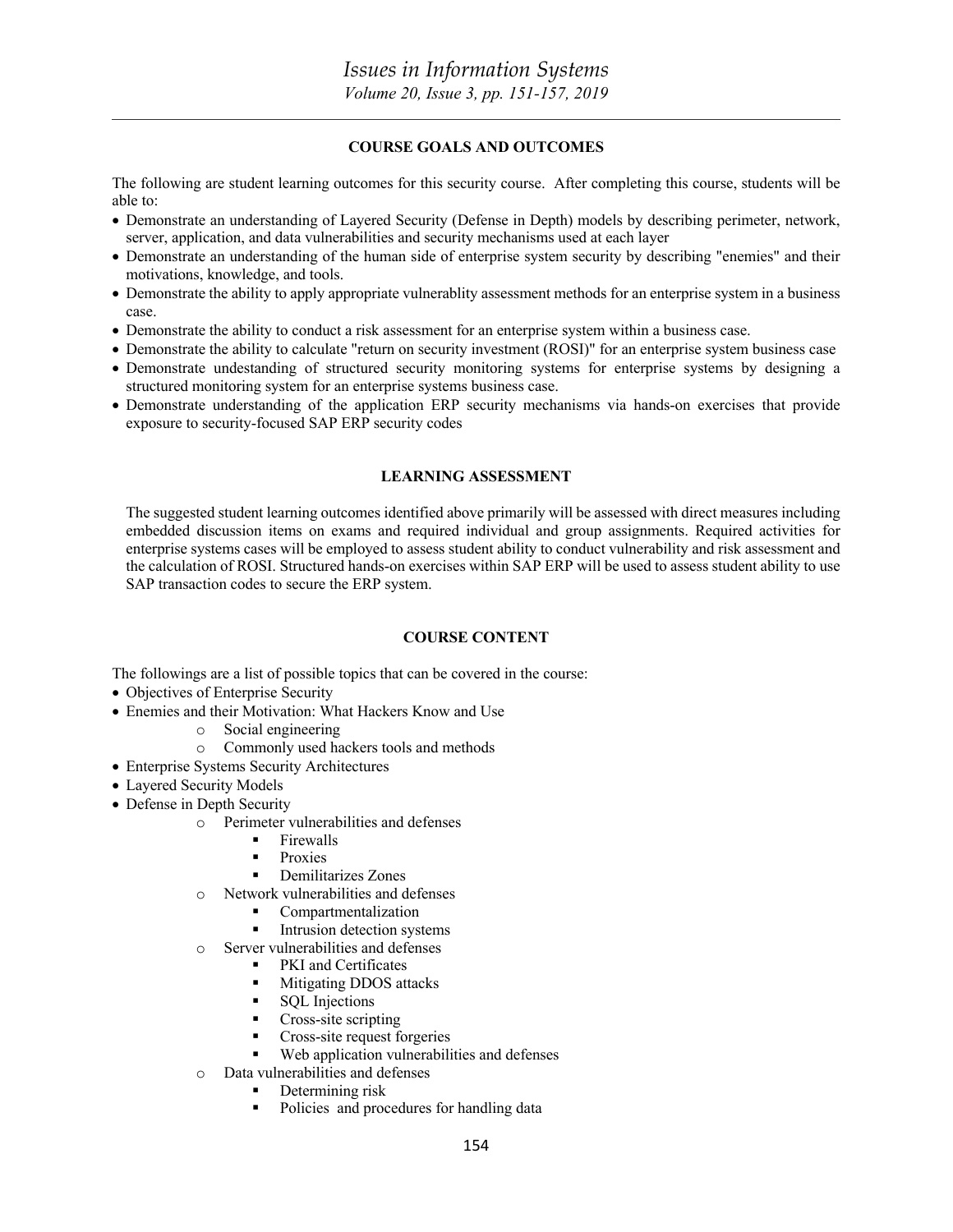## **COURSE GOALS AND OUTCOMES**

The following are student learning outcomes for this security course. After completing this course, students will be able to:

- Demonstrate an understanding of Layered Security (Defense in Depth) models by describing perimeter, network, server, application, and data vulnerabilities and security mechanisms used at each layer
- Demonstrate an understanding of the human side of enterprise system security by describing "enemies" and their motivations, knowledge, and tools.
- Demonstrate the ability to apply appropriate vulnerablity assessment methods for an enterprise system in a business case.
- Demonstrate the ability to conduct a risk assessment for an enterprise system within a business case.
- Demonstrate the ability to calculate "return on security investment (ROSI)" for an enterprise system business case
- Demonstrate undestanding of structured security monitoring systems for enterprise systems by designing a structured monitoring system for an enterprise systems business case.
- Demonstrate understanding of the application ERP security mechanisms via hands-on exercises that provide exposure to security-focused SAP ERP security codes

## **LEARNING ASSESSMENT**

The suggested student learning outcomes identified above primarily will be assessed with direct measures including embedded discussion items on exams and required individual and group assignments. Required activities for enterprise systems cases will be employed to assess student ability to conduct vulnerability and risk assessment and the calculation of ROSI. Structured hands-on exercises within SAP ERP will be used to assess student ability to use SAP transaction codes to secure the ERP system.

# **COURSE CONTENT**

The followings are a list of possible topics that can be covered in the course:

- Objectives of Enterprise Security
- Enemies and their Motivation: What Hackers Know and Use
	- o Social engineering
	- o Commonly used hackers tools and methods
- Enterprise Systems Security Architectures
- Layered Security Models
- Defense in Depth Security
	- o Perimeter vulnerabilities and defenses
		- § Firewalls
		- Proxies
		- § Demilitarizes Zones
	- o Network vulnerabilities and defenses
		- Compartmentalization
		- Intrusion detection systems
	- o Server vulnerabilities and defenses
		- PKI and Certificates
			- § Mitigating DDOS attacks
			- SQL Injections
			- § Cross-site scripting
			- § Cross-site request forgeries
			- Web application vulnerabilities and defenses
	- o Data vulnerabilities and defenses
		- Determining risk
		- Policies and procedures for handling data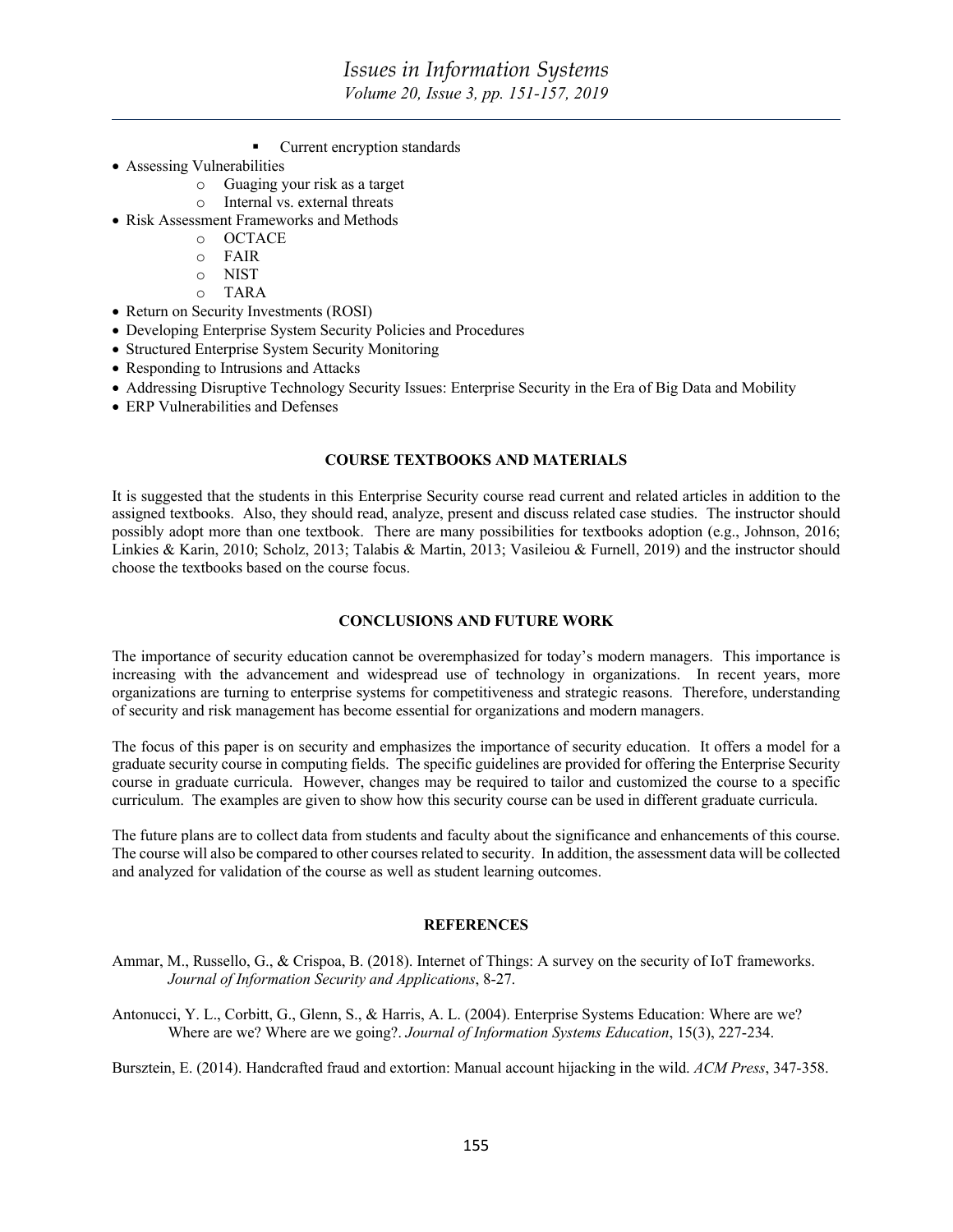- Current encryption standards
- Assessing Vulnerabilities
	- o Guaging your risk as a target
	- o Internal vs. external threats
- Risk Assessment Frameworks and Methods
	- o OCTACE
	- o FAIR
	- o NIST
	- o TARA
- Return on Security Investments (ROSI)
- Developing Enterprise System Security Policies and Procedures
- Structured Enterprise System Security Monitoring
- Responding to Intrusions and Attacks
- Addressing Disruptive Technology Security Issues: Enterprise Security in the Era of Big Data and Mobility
- ERP Vulnerabilities and Defenses

### **COURSE TEXTBOOKS AND MATERIALS**

It is suggested that the students in this Enterprise Security course read current and related articles in addition to the assigned textbooks. Also, they should read, analyze, present and discuss related case studies. The instructor should possibly adopt more than one textbook. There are many possibilities for textbooks adoption (e.g., Johnson, 2016; Linkies & Karin, 2010; Scholz, 2013; Talabis & Martin, 2013; Vasileiou & Furnell, 2019) and the instructor should choose the textbooks based on the course focus.

## **CONCLUSIONS AND FUTURE WORK**

The importance of security education cannot be overemphasized for today's modern managers. This importance is increasing with the advancement and widespread use of technology in organizations. In recent years, more organizations are turning to enterprise systems for competitiveness and strategic reasons. Therefore, understanding of security and risk management has become essential for organizations and modern managers.

The focus of this paper is on security and emphasizes the importance of security education. It offers a model for a graduate security course in computing fields. The specific guidelines are provided for offering the Enterprise Security course in graduate curricula. However, changes may be required to tailor and customized the course to a specific curriculum. The examples are given to show how this security course can be used in different graduate curricula.

The future plans are to collect data from students and faculty about the significance and enhancements of this course. The course will also be compared to other courses related to security. In addition, the assessment data will be collected and analyzed for validation of the course as well as student learning outcomes.

### **REFERENCES**

Ammar, M., Russello, G., & Crispoa, B. (2018). Internet of Things: A survey on the security of IoT frameworks. *Journal of Information Security and Applications*, 8-27.

Antonucci, Y. L., Corbitt, G., Glenn, S., & Harris, A. L. (2004). Enterprise Systems Education: Where are we? Where are we? Where are we going?. *Journal of Information Systems Education*, 15(3), 227-234.

Bursztein, E. (2014). Handcrafted fraud and extortion: Manual account hijacking in the wild. *ACM Press*, 347-358.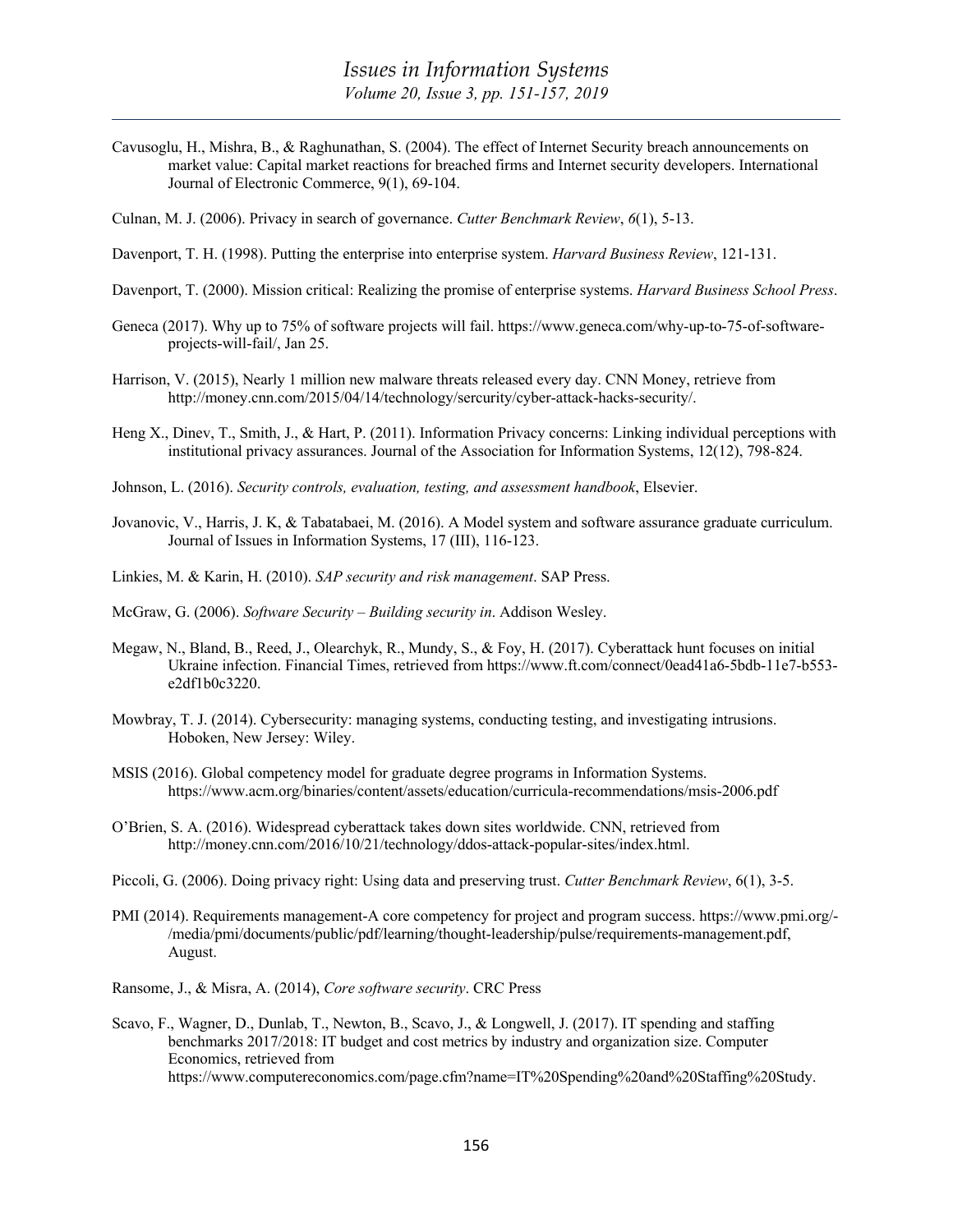- Cavusoglu, H., Mishra, B., & Raghunathan, S. (2004). The effect of Internet Security breach announcements on market value: Capital market reactions for breached firms and Internet security developers. International Journal of Electronic Commerce, 9(1), 69-104.
- Culnan, M. J. (2006). Privacy in search of governance. *Cutter Benchmark Review*, *6*(1), 5-13.
- Davenport, T. H. (1998). Putting the enterprise into enterprise system. *Harvard Business Review*, 121-131.
- Davenport, T. (2000). Mission critical: Realizing the promise of enterprise systems. *Harvard Business School Press*.
- Geneca (2017). Why up to 75% of software projects will fail. https://www.geneca.com/why-up-to-75-of-softwareprojects-will-fail/, Jan 25.
- Harrison, V. (2015), Nearly 1 million new malware threats released every day. CNN Money, retrieve from http://money.cnn.com/2015/04/14/technology/sercurity/cyber-attack-hacks-security/.
- Heng X., Dinev, T., Smith, J., & Hart, P. (2011). Information Privacy concerns: Linking individual perceptions with institutional privacy assurances. Journal of the Association for Information Systems, 12(12), 798-824.
- Johnson, L. (2016). *Security controls, evaluation, testing, and assessment handbook*, Elsevier.
- Jovanovic, V., Harris, J. K, & Tabatabaei, M. (2016). A Model system and software assurance graduate curriculum. Journal of Issues in Information Systems, 17 (III), 116-123.
- Linkies, M. & Karin, H. (2010). *SAP security and risk management*. SAP Press.
- McGraw, G. (2006). *Software Security – Building security in*. Addison Wesley.
- Megaw, N., Bland, B., Reed, J., Olearchyk, R., Mundy, S., & Foy, H. (2017). Cyberattack hunt focuses on initial Ukraine infection. Financial Times, retrieved from https://www.ft.com/connect/0ead41a6-5bdb-11e7-b553 e2df1b0c3220.
- Mowbray, T. J. (2014). Cybersecurity: managing systems, conducting testing, and investigating intrusions. Hoboken, New Jersey: Wiley.
- MSIS (2016). Global competency model for graduate degree programs in Information Systems. https://www.acm.org/binaries/content/assets/education/curricula-recommendations/msis-2006.pdf
- O'Brien, S. A. (2016). Widespread cyberattack takes down sites worldwide. CNN, retrieved from http://money.cnn.com/2016/10/21/technology/ddos-attack-popular-sites/index.html.
- Piccoli, G. (2006). Doing privacy right: Using data and preserving trust. *Cutter Benchmark Review*, 6(1), 3-5.
- PMI (2014). Requirements management-A core competency for project and program success. https://www.pmi.org/- /media/pmi/documents/public/pdf/learning/thought-leadership/pulse/requirements-management.pdf, August.
- Ransome, J., & Misra, A. (2014), *Core software security*. CRC Press
- Scavo, F., Wagner, D., Dunlab, T., Newton, B., Scavo, J., & Longwell, J. (2017). IT spending and staffing benchmarks 2017/2018: IT budget and cost metrics by industry and organization size. Computer Economics, retrieved from https://www.computereconomics.com/page.cfm?name=IT%20Spending%20and%20Staffing%20Study.